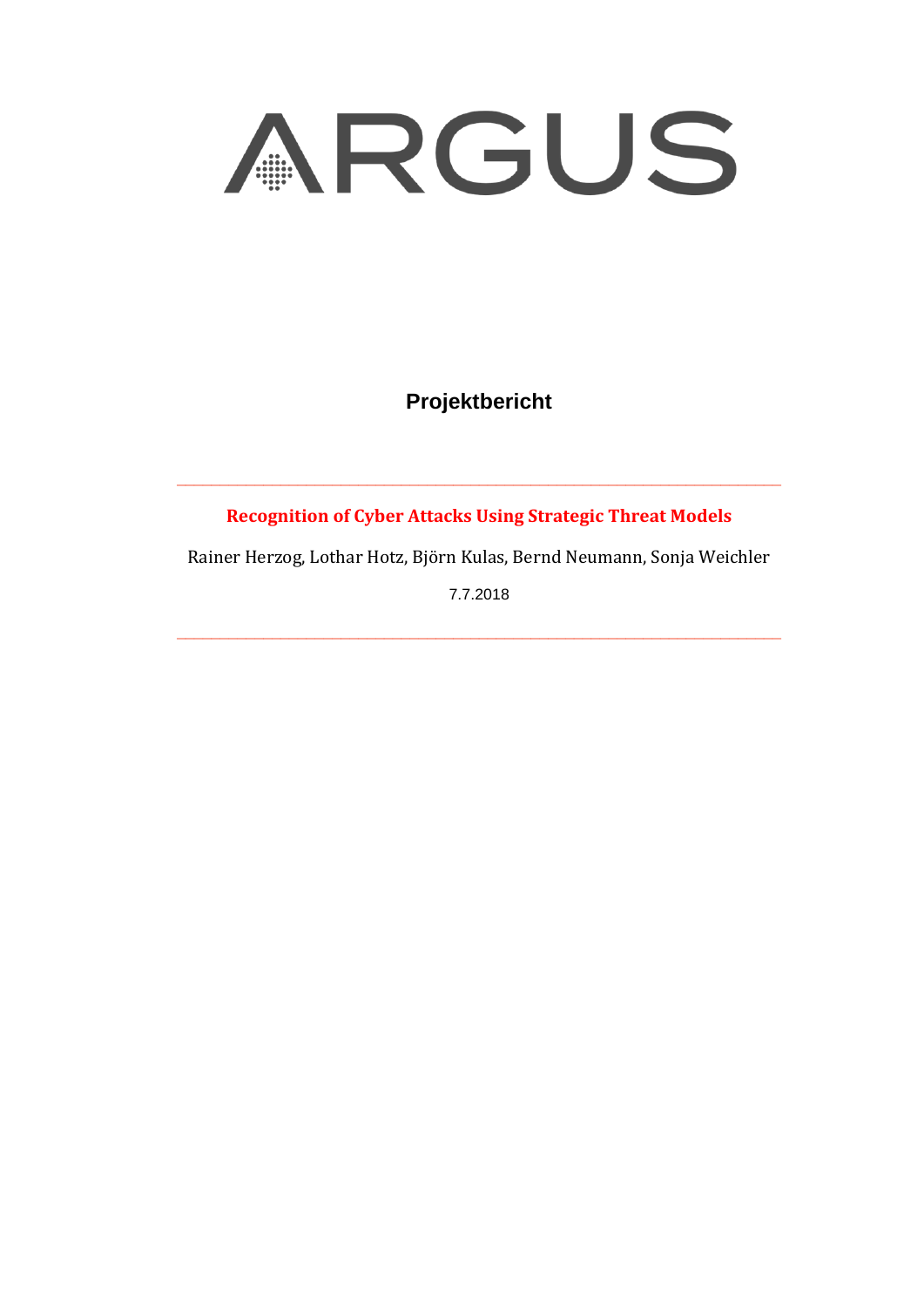

**Projektbericht** 

**Recognition of Cyber Attacks Using Strategic Threat Models**

\_\_\_\_\_\_\_\_\_\_\_\_\_\_\_\_\_\_\_\_\_\_\_\_\_\_\_\_\_\_\_\_\_\_\_\_\_\_\_\_\_\_\_\_\_\_\_\_\_\_\_\_\_\_\_\_\_\_\_\_\_\_\_\_\_\_\_\_\_\_

Rainer Herzog, Lothar Hotz, Björn Kulas, Bernd Neumann, Sonja Weichler

7.7.2018

 $\_$  , and the set of the set of the set of the set of the set of the set of the set of the set of the set of the set of the set of the set of the set of the set of the set of the set of the set of the set of the set of th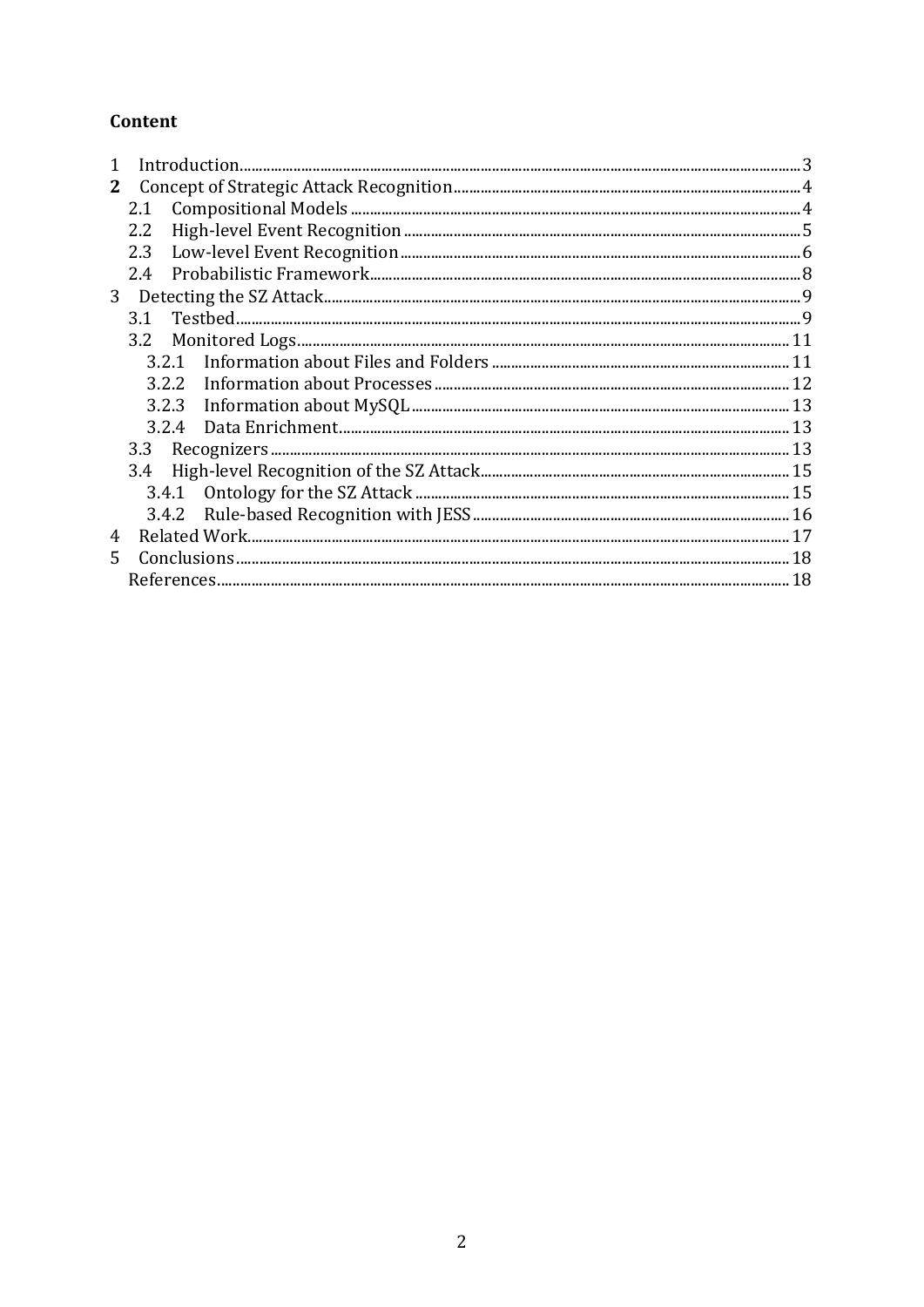## Content

| $\mathbf{1}$   |       |  |  |  |
|----------------|-------|--|--|--|
| 2              |       |  |  |  |
|                | 2.1   |  |  |  |
|                | 2.2   |  |  |  |
|                | 2.3   |  |  |  |
| 2.4            |       |  |  |  |
| 3 <sup>1</sup> |       |  |  |  |
|                | 3.1   |  |  |  |
|                |       |  |  |  |
|                | 3.2.1 |  |  |  |
|                | 3.2.2 |  |  |  |
|                |       |  |  |  |
|                |       |  |  |  |
|                | 3.3   |  |  |  |
|                |       |  |  |  |
|                |       |  |  |  |
|                |       |  |  |  |
| 4              |       |  |  |  |
| 5.             |       |  |  |  |
|                |       |  |  |  |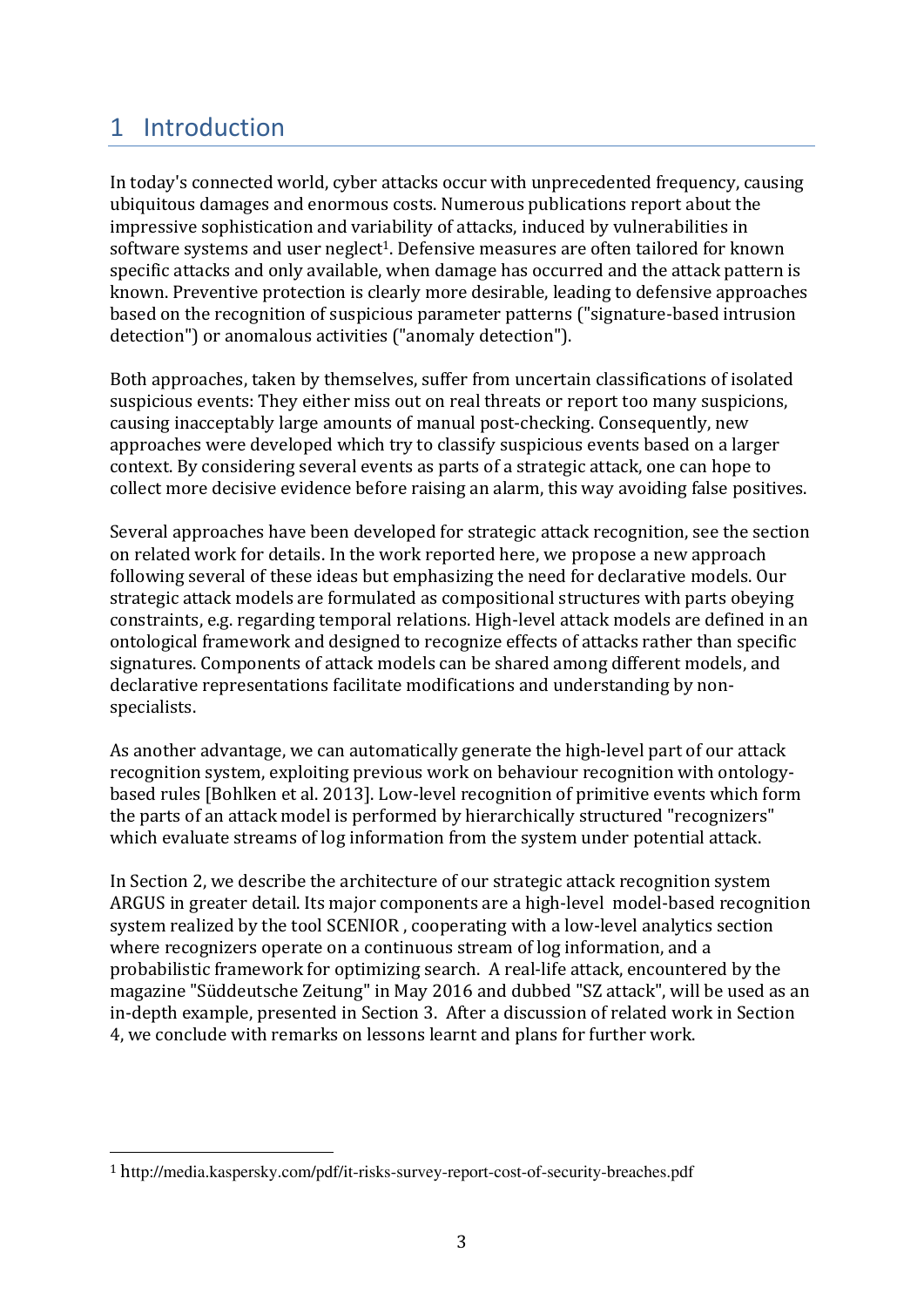## 1 Introduction

In today's connected world, cyber attacks occur with unprecedented frequency, causing ubiquitous damages and enormous costs. Numerous publications report about the impressive sophistication and variability of attacks, induced by vulnerabilities in software systems and user neglect<sup>1</sup>. Defensive measures are often tailored for known specific attacks and only available, when damage has occurred and the attack pattern is known. Preventive protection is clearly more desirable, leading to defensive approaches based on the recognition of suspicious parameter patterns ("signature-based intrusion detection") or anomalous activities ("anomaly detection").

Both approaches, taken by themselves, suffer from uncertain classifications of isolated suspicious events: They either miss out on real threats or report too many suspicions, causing inacceptably large amounts of manual post-checking. Consequently, new approaches were developed which try to classify suspicious events based on a larger context. By considering several events as parts of a strategic attack, one can hope to collect more decisive evidence before raising an alarm, this way avoiding false positives.

Several approaches have been developed for strategic attack recognition, see the section on related work for details. In the work reported here, we propose a new approach following several of these ideas but emphasizing the need for declarative models. Our strategic attack models are formulated as compositional structures with parts obeying constraints, e.g. regarding temporal relations. High-level attack models are defined in an ontological framework and designed to recognize effects of attacks rather than specific signatures. Components of attack models can be shared among different models, and declarative representations facilitate modifications and understanding by nonspecialists. 

As another advantage, we can automatically generate the high-level part of our attack recognition system, exploiting previous work on behaviour recognition with ontologybased rules [Bohlken et al. 2013]. Low-level recognition of primitive events which form the parts of an attack model is performed by hierarchically structured "recognizers" which evaluate streams of log information from the system under potential attack.

In Section 2, we describe the architecture of our strategic attack recognition system ARGUS in greater detail. Its major components are a high-level model-based recognition system realized by the tool SCENIOR, cooperating with a low-level analytics section where recognizers operate on a continuous stream of log information, and a probabilistic framework for optimizing search. A real-life attack, encountered by the magazine "Süddeutsche Zeitung" in May 2016 and dubbed "SZ attack", will be used as an in-depth example, presented in Section 3. After a discussion of related work in Section 4, we conclude with remarks on lessons learnt and plans for further work.

 

<sup>1</sup> http://media.kaspersky.com/pdf/it-risks-survey-report-cost-of-security-breaches.pdf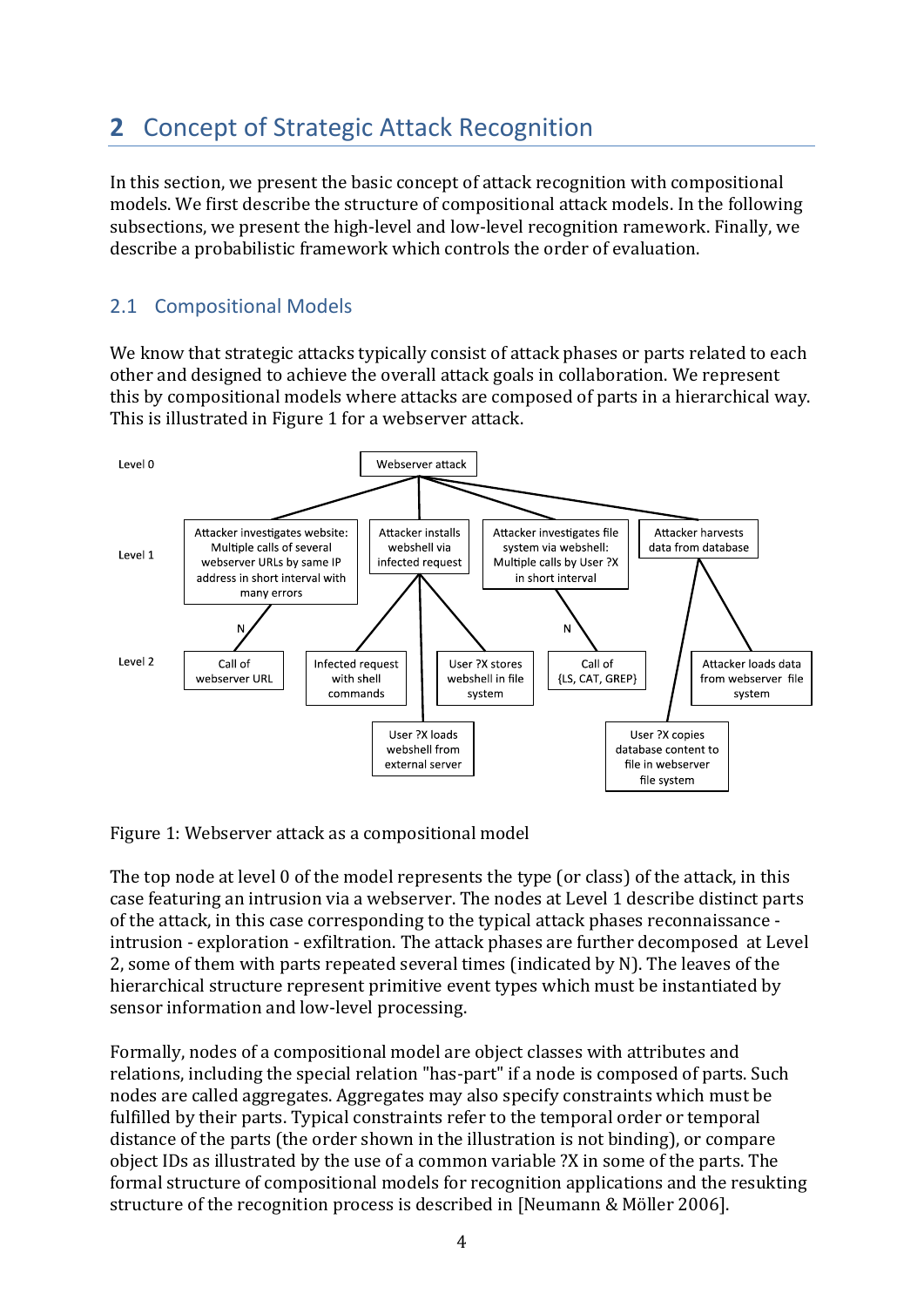# **2** Concept of Strategic Attack Recognition

In this section, we present the basic concept of attack recognition with compositional models. We first describe the structure of compositional attack models. In the following subsections, we present the high-level and low-level recognition ramework. Finally, we describe a probabilistic framework which controls the order of evaluation.

## 2.1 Compositional Models

We know that strategic attacks typically consist of attack phases or parts related to each other and designed to achieve the overall attack goals in collaboration. We represent this by compositional models where attacks are composed of parts in a hierarchical way. This is illustrated in Figure 1 for a webserver attack.



Figure 1: Webserver attack as a compositional model

The top node at level 0 of the model represents the type (or class) of the attack, in this case featuring an intrusion via a webserver. The nodes at Level 1 describe distinct parts of the attack, in this case corresponding to the typical attack phases reconnaissance intrusion - exploration - exfiltration. The attack phases are further decomposed at Level 2, some of them with parts repeated several times (indicated by N). The leaves of the hierarchical structure represent primitive event types which must be instantiated by sensor information and low-level processing.

Formally, nodes of a compositional model are object classes with attributes and relations, including the special relation "has-part" if a node is composed of parts. Such nodes are called aggregates. Aggregates may also specify constraints which must be fulfilled by their parts. Typical constraints refer to the temporal order or temporal distance of the parts (the order shown in the illustration is not binding), or compare object IDs as illustrated by the use of a common variable ?X in some of the parts. The formal structure of compositional models for recognition applications and the resukting structure of the recognition process is described in [Neumann & Möller 2006].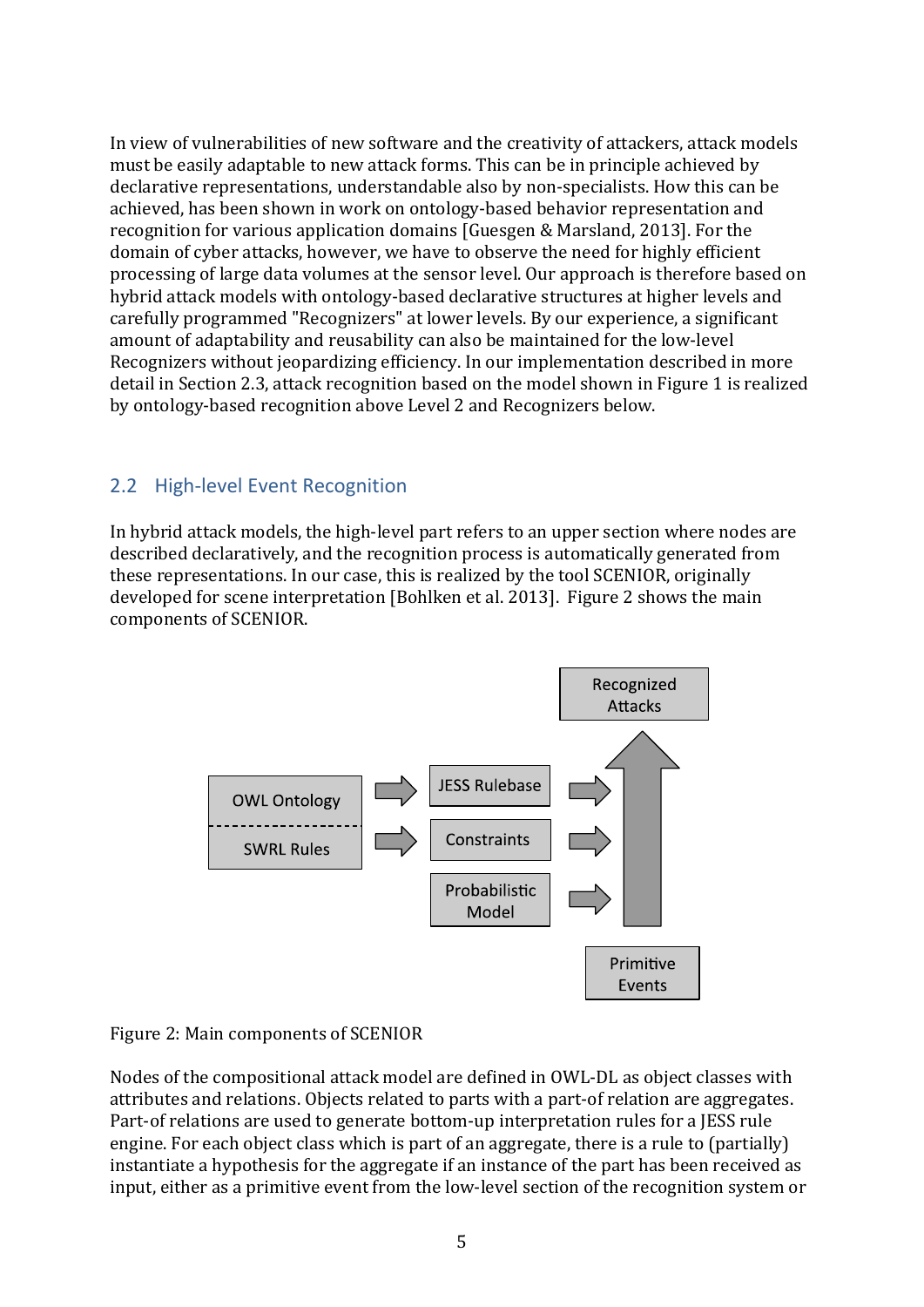In view of vulnerabilities of new software and the creativity of attackers, attack models must be easily adaptable to new attack forms. This can be in principle achieved by declarative representations, understandable also by non-specialists. How this can be achieved, has been shown in work on ontology-based behavior representation and recognition for various application domains [Guesgen & Marsland, 2013]. For the domain of cyber attacks, however, we have to observe the need for highly efficient processing of large data volumes at the sensor level. Our approach is therefore based on hybrid attack models with ontology-based declarative structures at higher levels and carefully programmed "Recognizers" at lower levels. By our experience, a significant amount of adaptability and reusability can also be maintained for the low-level Recognizers without jeopardizing efficiency. In our implementation described in more detail in Section 2.3, attack recognition based on the model shown in Figure 1 is realized by ontology-based recognition above Level 2 and Recognizers below.

### 2.2 High-level Event Recognition

In hybrid attack models, the high-level part refers to an upper section where nodes are described declaratively, and the recognition process is automatically generated from these representations. In our case, this is realized by the tool SCENIOR, originally developed for scene interpretation [Bohlken et al. 2013]. Figure 2 shows the main components of SCENIOR.



Figure 2: Main components of SCENIOR

Nodes of the compositional attack model are defined in OWL-DL as object classes with attributes and relations. Objects related to parts with a part-of relation are aggregates. Part-of relations are used to generate bottom-up interpretation rules for a JESS rule engine. For each object class which is part of an aggregate, there is a rule to (partially) instantiate a hypothesis for the aggregate if an instance of the part has been received as input, either as a primitive event from the low-level section of the recognition system or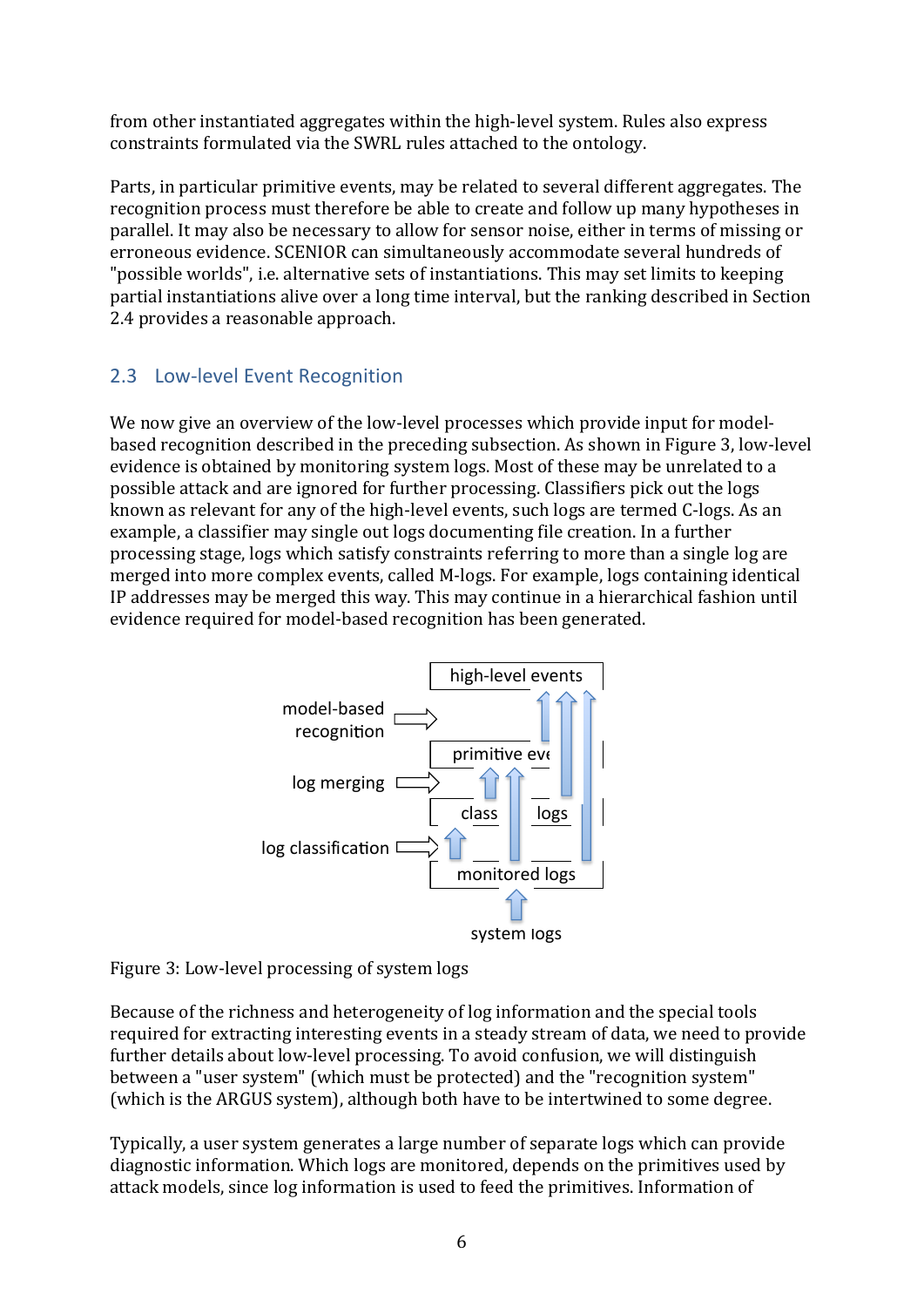from other instantiated aggregates within the high-level system. Rules also express constraints formulated via the SWRL rules attached to the ontology.

Parts, in particular primitive events, may be related to several different aggregates. The recognition process must therefore be able to create and follow up many hypotheses in parallel. It may also be necessary to allow for sensor noise, either in terms of missing or erroneous evidence. SCENIOR can simultaneously accommodate several hundreds of "possible worlds", i.e. alternative sets of instantiations. This may set limits to keeping partial instantiations alive over a long time interval, but the ranking described in Section 2.4 provides a reasonable approach.

## 2.3 Low-level Event Recognition

We now give an overview of the low-level processes which provide input for modelbased recognition described in the preceding subsection. As shown in Figure 3, low-level evidence is obtained by monitoring system logs. Most of these may be unrelated to a possible attack and are ignored for further processing. Classifiers pick out the logs known as relevant for any of the high-level events, such logs are termed C-logs. As an example, a classifier may single out logs documenting file creation. In a further processing stage, logs which satisfy constraints referring to more than a single log are merged into more complex events, called M-logs. For example, logs containing identical IP addresses may be merged this way. This may continue in a hierarchical fashion until evidence required for model-based recognition has been generated.





Because of the richness and heterogeneity of log information and the special tools required for extracting interesting events in a steady stream of data, we need to provide further details about low-level processing. To avoid confusion, we will distinguish between a "user system" (which must be protected) and the "recognition system" (which is the ARGUS system), although both have to be intertwined to some degree.

Typically, a user system generates a large number of separate logs which can provide diagnostic information. Which logs are monitored, depends on the primitives used by attack models, since log information is used to feed the primitives. Information of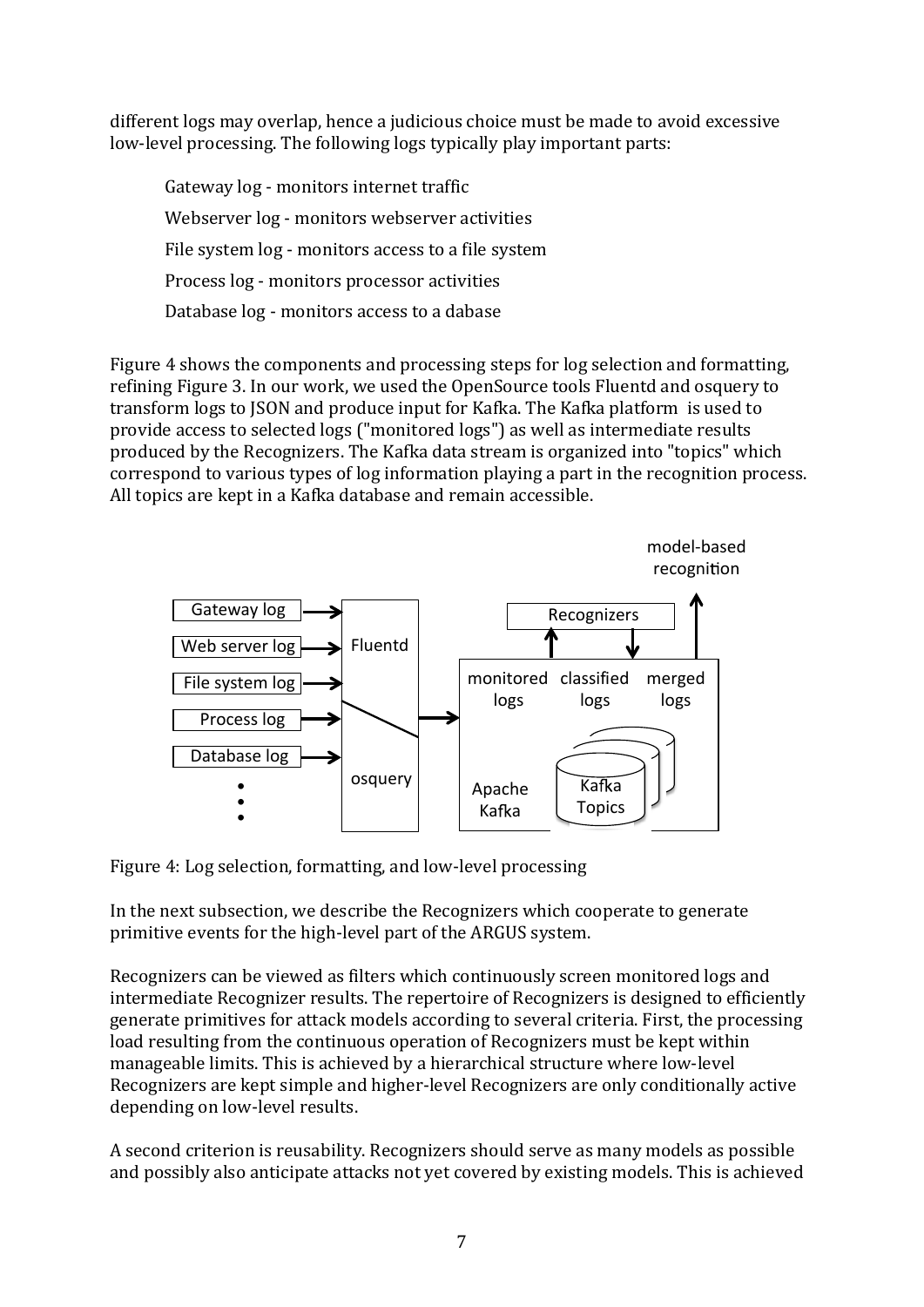different logs may overlap, hence a judicious choice must be made to avoid excessive low-level processing. The following logs typically play important parts:

Gateway log - monitors internet traffic Webserver log - monitors webserver activities File system  $log -$  monitors access to a file system Process log - monitors processor activities Database  $log$  - monitors access to a dabase

Figure 4 shows the components and processing steps for log selection and formatting, refining Figure 3. In our work, we used the OpenSource tools Fluentd and osquery to transform logs to JSON and produce input for Kafka. The Kafka platform is used to provide access to selected logs ("monitored logs") as well as intermediate results produced by the Recognizers. The Kafka data stream is organized into "topics" which correspond to various types of log information playing a part in the recognition process. All topics are kept in a Kafka database and remain accessible.

model‐based



Figure 4: Log selection, formatting, and low-level processing

In the next subsection, we describe the Recognizers which cooperate to generate primitive events for the high-level part of the ARGUS system.

Recognizers can be viewed as filters which continuously screen monitored logs and intermediate Recognizer results. The repertoire of Recognizers is designed to efficiently generate primitives for attack models according to several criteria. First, the processing load resulting from the continuous operation of Recognizers must be kept within manageable limits. This is achieved by a hierarchical structure where low-level Recognizers are kept simple and higher-level Recognizers are only conditionally active depending on low-level results.

A second criterion is reusability. Recognizers should serve as many models as possible and possibly also anticipate attacks not yet covered by existing models. This is achieved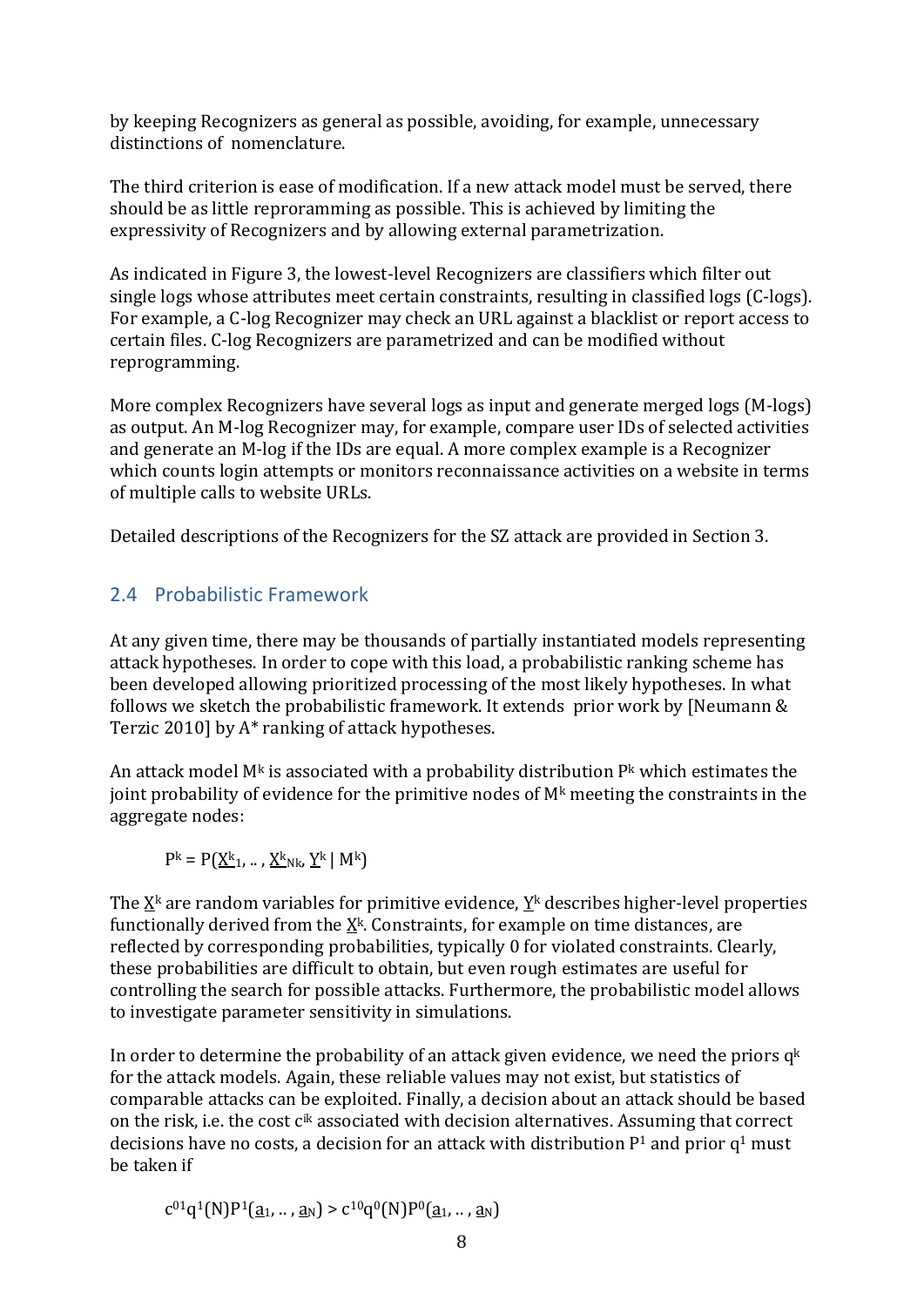by keeping Recognizers as general as possible, avoiding, for example, unnecessary distinctions of nomenclature.

The third criterion is ease of modification. If a new attack model must be served, there should be as little reproramming as possible. This is achieved by limiting the expressivity of Recognizers and by allowing external parametrization.

As indicated in Figure 3, the lowest-level Recognizers are classifiers which filter out single logs whose attributes meet certain constraints, resulting in classified logs (C-logs). For example, a C-log Recognizer may check an URL against a blacklist or report access to certain files. C-log Recognizers are parametrized and can be modified without reprogramming. 

More complex Recognizers have several logs as input and generate merged logs  $(M$ -logs) as output. An M-log Recognizer may, for example, compare user IDs of selected activities and generate an M-log if the IDs are equal. A more complex example is a Recognizer which counts login attempts or monitors reconnaissance activities on a website in terms of multiple calls to website URLs.

Detailed descriptions of the Recognizers for the SZ attack are provided in Section 3.

## 2.4 Probabilistic Framework

At any given time, there may be thousands of partially instantiated models representing attack hypotheses. In order to cope with this load, a probabilistic ranking scheme has been developed allowing prioritized processing of the most likely hypotheses. In what follows we sketch the probabilistic framework. It extends  $\overline{p}$  prior work by [Neumann & Terzic 2010] by  $A^*$  ranking of attack hypotheses.

An attack model  $M<sup>k</sup>$  is associated with a probability distribution  $P<sup>k</sup>$  which estimates the joint probability of evidence for the primitive nodes of  $M<sup>k</sup>$  meeting the constraints in the aggregate nodes:

 $P^{k} = P(X^{k}1, \ldots, X^{k}N^{k}, Y^{k} | M^{k})$ 

The  $X^k$  are random variables for primitive evidence,  $Y^k$  describes higher-level properties functionally derived from the  $\underline{X}^k$ . Constraints, for example on time distances, are reflected by corresponding probabilities, typically 0 for violated constraints. Clearly, these probabilities are difficult to obtain, but even rough estimates are useful for controlling the search for possible attacks. Furthermore, the probabilistic model allows to investigate parameter sensitivity in simulations.

In order to determine the probability of an attack given evidence, we need the priors  $q^k$ for the attack models. Again, these reliable values may not exist, but statistics of comparable attacks can be exploited. Finally, a decision about an attack should be based on the risk, i.e. the cost c<sup>ik</sup> associated with decision alternatives. Assuming that correct decisions have no costs, a decision for an attack with distribution  $P^1$  and prior  $q^1$  must be taken if 

 $c^{01}q^{1}(N)P^{1}(\underline{a}_{1},...,\underline{a}_{N}) > c^{10}q^{0}(N)P^{0}(\underline{a}_{1},...,\underline{a}_{N})$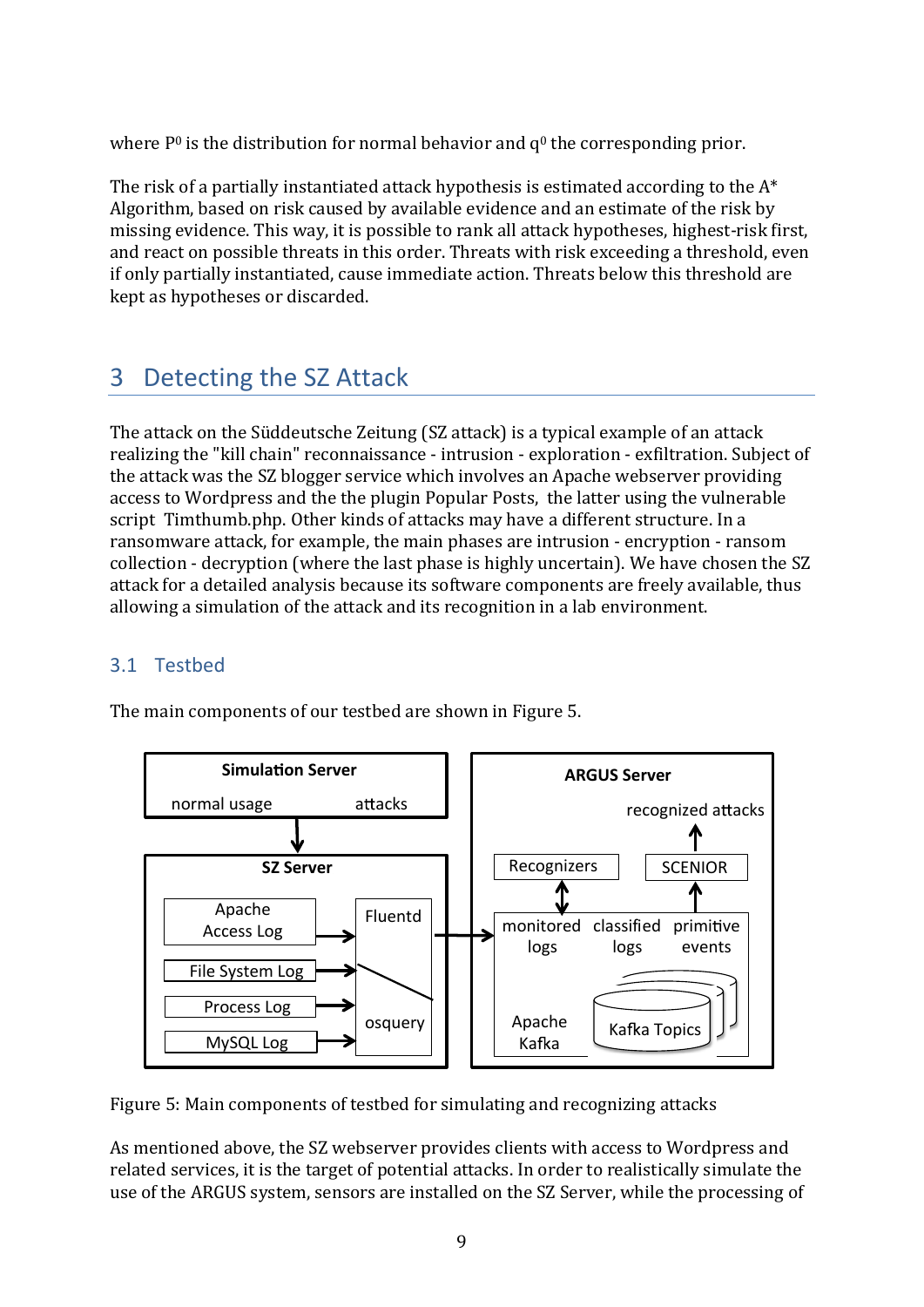where  $P^0$  is the distribution for normal behavior and  $q^0$  the corresponding prior.

The risk of a partially instantiated attack hypothesis is estimated according to the  $A^*$ Algorithm, based on risk caused by available evidence and an estimate of the risk by missing evidence. This way, it is possible to rank all attack hypotheses, highest-risk first, and react on possible threats in this order. Threats with risk exceeding a threshold, even if only partially instantiated, cause immediate action. Threats below this threshold are kept as hypotheses or discarded.

## 3 Detecting the SZ Attack

The attack on the Süddeutsche Zeitung (SZ attack) is a typical example of an attack realizing the "kill chain" reconnaissance - intrusion - exploration - exfiltration. Subject of the attack was the SZ blogger service which involves an Apache webserver providing access to Wordpress and the the plugin Popular Posts, the latter using the vulnerable script Timthumb.php. Other kinds of attacks may have a different structure. In a ransomware attack, for example, the main phases are intrusion - encryption - ransom collection - decryption (where the last phase is highly uncertain). We have chosen the SZ attack for a detailed analysis because its software components are freely available, thus allowing a simulation of the attack and its recognition in a lab environment.

## 3.1 Testbed

The main components of our testbed are shown in Figure 5.



Figure 5: Main components of testbed for simulating and recognizing attacks

As mentioned above, the SZ webserver provides clients with access to Wordpress and related services, it is the target of potential attacks. In order to realistically simulate the use of the ARGUS system, sensors are installed on the SZ Server, while the processing of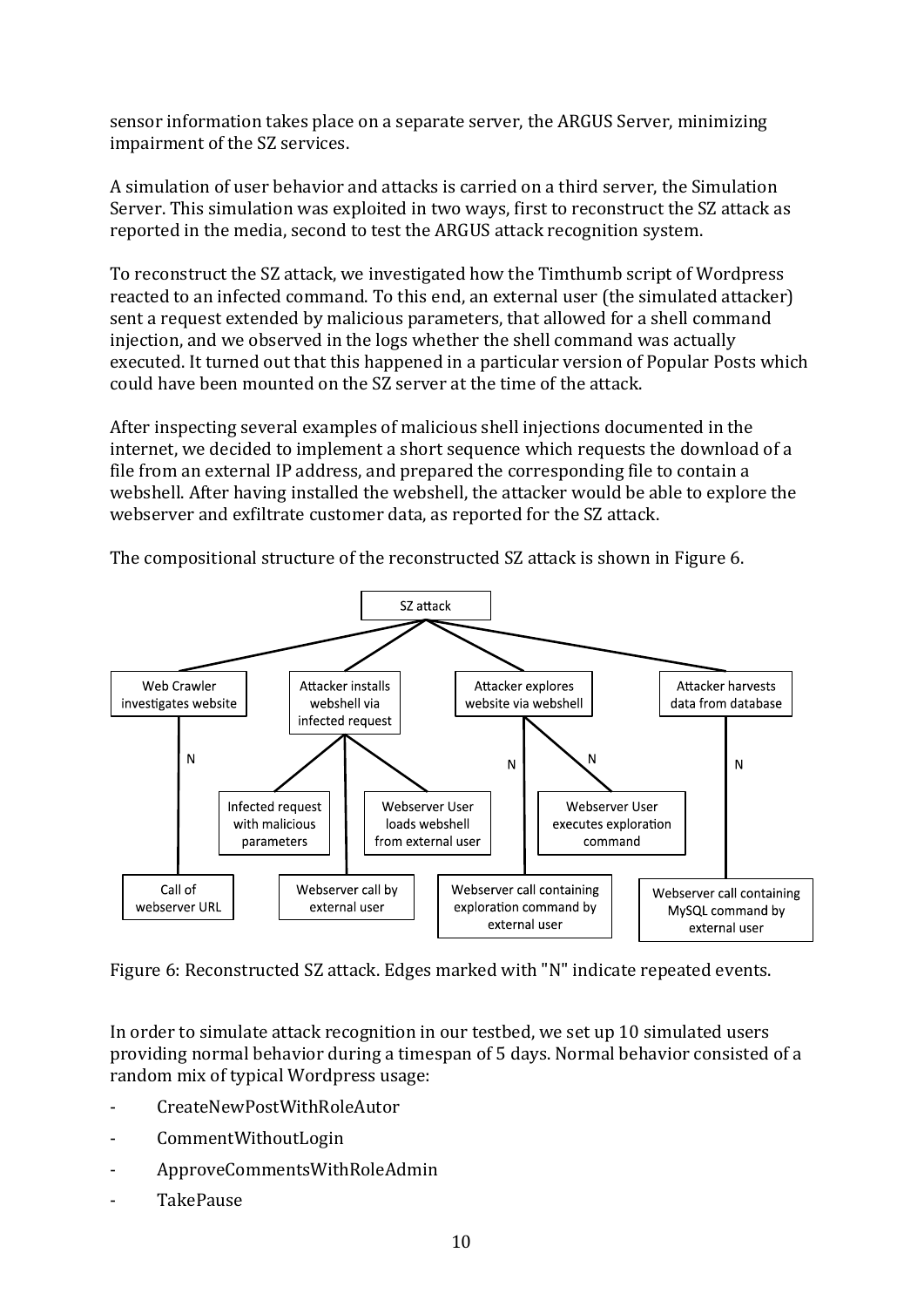sensor information takes place on a separate server, the ARGUS Server, minimizing impairment of the SZ services.

A simulation of user behavior and attacks is carried on a third server, the Simulation Server. This simulation was exploited in two ways, first to reconstruct the SZ attack as reported in the media, second to test the ARGUS attack recognition system.

To reconstruct the SZ attack, we investigated how the Timthumb script of Wordpress reacted to an infected command. To this end, an external user (the simulated attacker) sent a request extended by malicious parameters, that allowed for a shell command injection, and we observed in the logs whether the shell command was actually executed. It turned out that this happened in a particular version of Popular Posts which could have been mounted on the SZ server at the time of the attack.

After inspecting several examples of malicious shell injections documented in the internet, we decided to implement a short sequence which requests the download of a file from an external IP address, and prepared the corresponding file to contain a webshell. After having installed the webshell, the attacker would be able to explore the webserver and exfiltrate customer data, as reported for the SZ attack.



The compositional structure of the reconstructed SZ attack is shown in Figure 6.

Figure 6: Reconstructed SZ attack. Edges marked with "N" indicate repeated events.

In order to simulate attack recognition in our testbed, we set up 10 simulated users providing normal behavior during a timespan of 5 days. Normal behavior consisted of a random mix of typical Wordpress usage:

- CreateNewPostWithRoleAutor
- CommentWithoutLogin
- ‐ ApproveCommentsWithRoleAdmin
- ‐ TakePause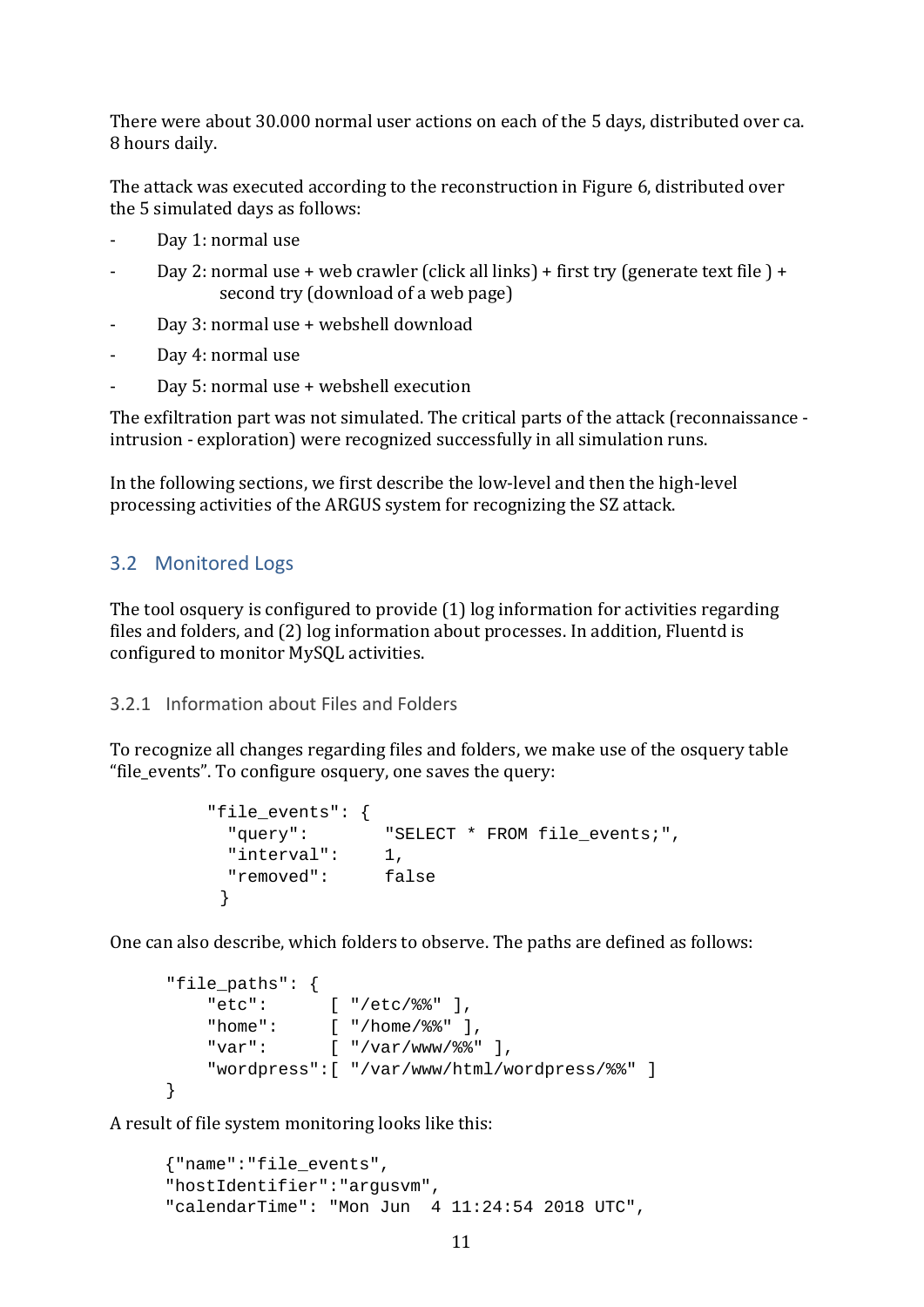There were about 30.000 normal user actions on each of the 5 days, distributed over ca. 8 hours daily.

The attack was executed according to the reconstruction in Figure 6, distributed over the 5 simulated days as follows:

- Day 1: normal use
- Day 2: normal use + web crawler (click all links) + first try (generate text file ) + second try (download of a web page)
- Day 3: normal use + webshell download
- Day 4: normal use
- Day 5: normal use  $+$  webshell execution

The exfiltration part was not simulated. The critical parts of the attack (reconnaissance intrusion - exploration) were recognized successfully in all simulation runs.

In the following sections, we first describe the low-level and then the high-level processing activities of the ARGUS system for recognizing the SZ attack.

### 3.2 Monitored Logs

The tool osquery is configured to provide  $(1)$  log information for activities regarding files and folders, and  $(2)$  log information about processes. In addition, Fluentd is configured to monitor MySQL activities.

#### 3.2.1 Information about Files and Folders

To recognize all changes regarding files and folders, we make use of the osquery table "file\_events". To configure osquery, one saves the query:

```
 "file_events": { 
  "query": "SELECT * FROM file_events;", 
  "interval": 1, 
  "removed": false 
 }
```
One can also describe, which folders to observe. The paths are defined as follows:

```
"file_paths": { 
     "etc": [ "/etc/%%" ], 
    "home": [ "/home/%%" ], 
   "<br>"var": [ "/var/www/%%" ],
     "wordpress":[ "/var/www/html/wordpress/%%" ] 
}
```
A result of file system monitoring looks like this:

```
{"name":"file_events", 
"hostIdentifier":"argusvm", 
"calendarTime": "Mon Jun 4 11:24:54 2018 UTC",
```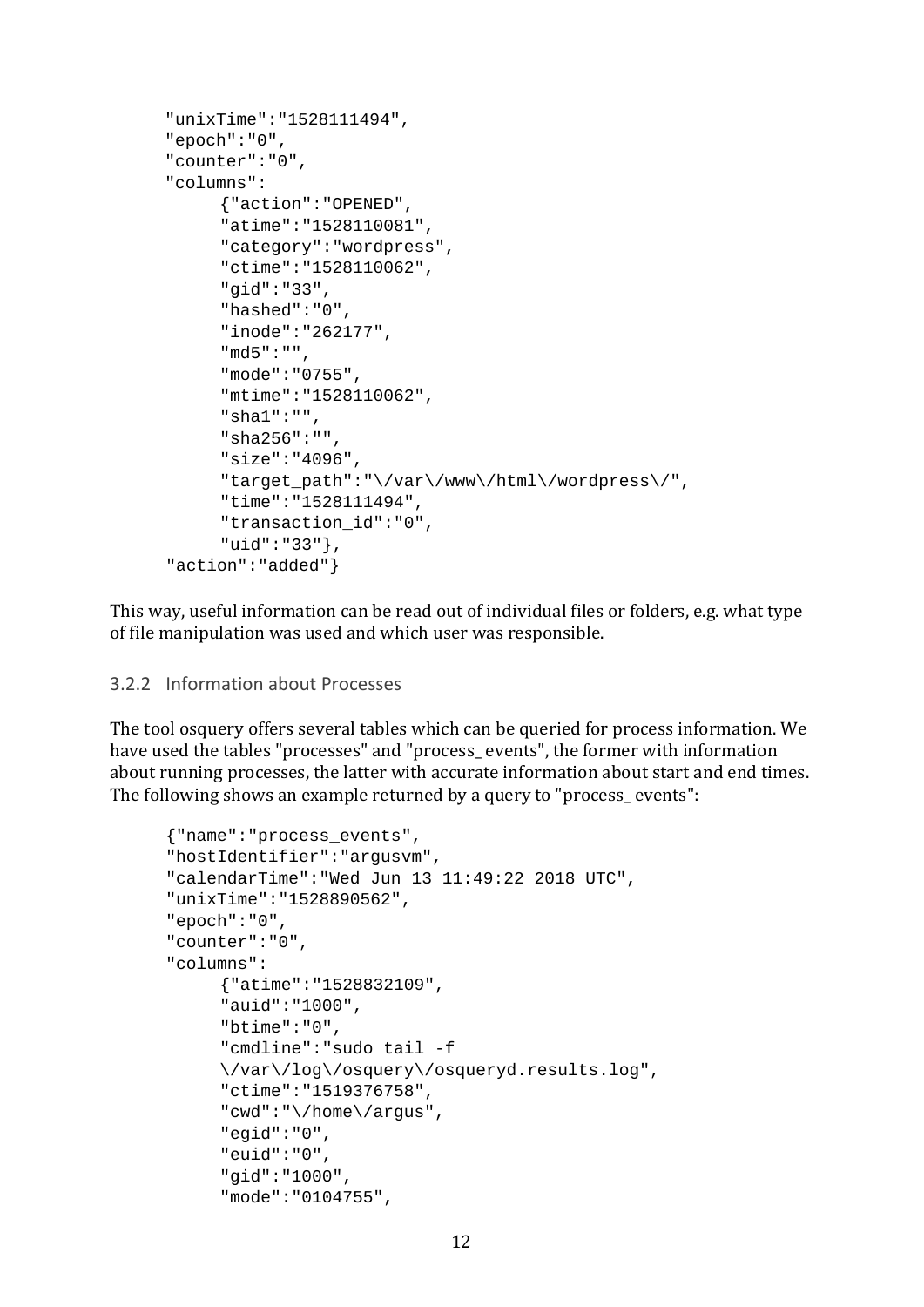```
"unixTime":"1528111494", 
"epoch":"0", 
"counter":"0", 
"columns": 
     {"action":"OPENED", 
     "atime":"1528110081", 
     "category":"wordpress", 
     "ctime":"1528110062", 
     "gid":"33", 
     "hashed":"0", 
     "inode":"262177", 
     "md5":"", 
     "mode":"0755", 
     "mtime":"1528110062", 
     "sha1":"", 
     "sha256":"", 
     "size":"4096", 
     "target_path":"\/var\/www\/html\/wordpress\/", 
     "time":"1528111494", 
     "transaction_id":"0", 
     "uid":"33"}, 
"action":"added"}
```
This way, useful information can be read out of individual files or folders, e.g. what type of file manipulation was used and which user was responsible.

#### 3.2.2 Information about Processes

The tool osquery offers several tables which can be queried for process information. We have used the tables "processes" and "process\_ events", the former with information about running processes, the latter with accurate information about start and end times. The following shows an example returned by a query to "process\_events":

```
{"name":"process_events", 
"hostIdentifier":"argusvm", 
"calendarTime":"Wed Jun 13 11:49:22 2018 UTC", 
"unixTime":"1528890562", 
"epoch":"0", 
"counter":"0", 
"columns": 
     {"atime":"1528832109", 
     "auid":"1000", 
     "btime":"0", 
     "cmdline":"sudo tail -f 
     \/var\/log\/osquery\/osqueryd.results.log", 
     "ctime":"1519376758", 
     "cwd":"\/home\/argus", 
     "egid":"0", 
     "euid":"0", 
     "gid":"1000", 
     "mode":"0104755",
```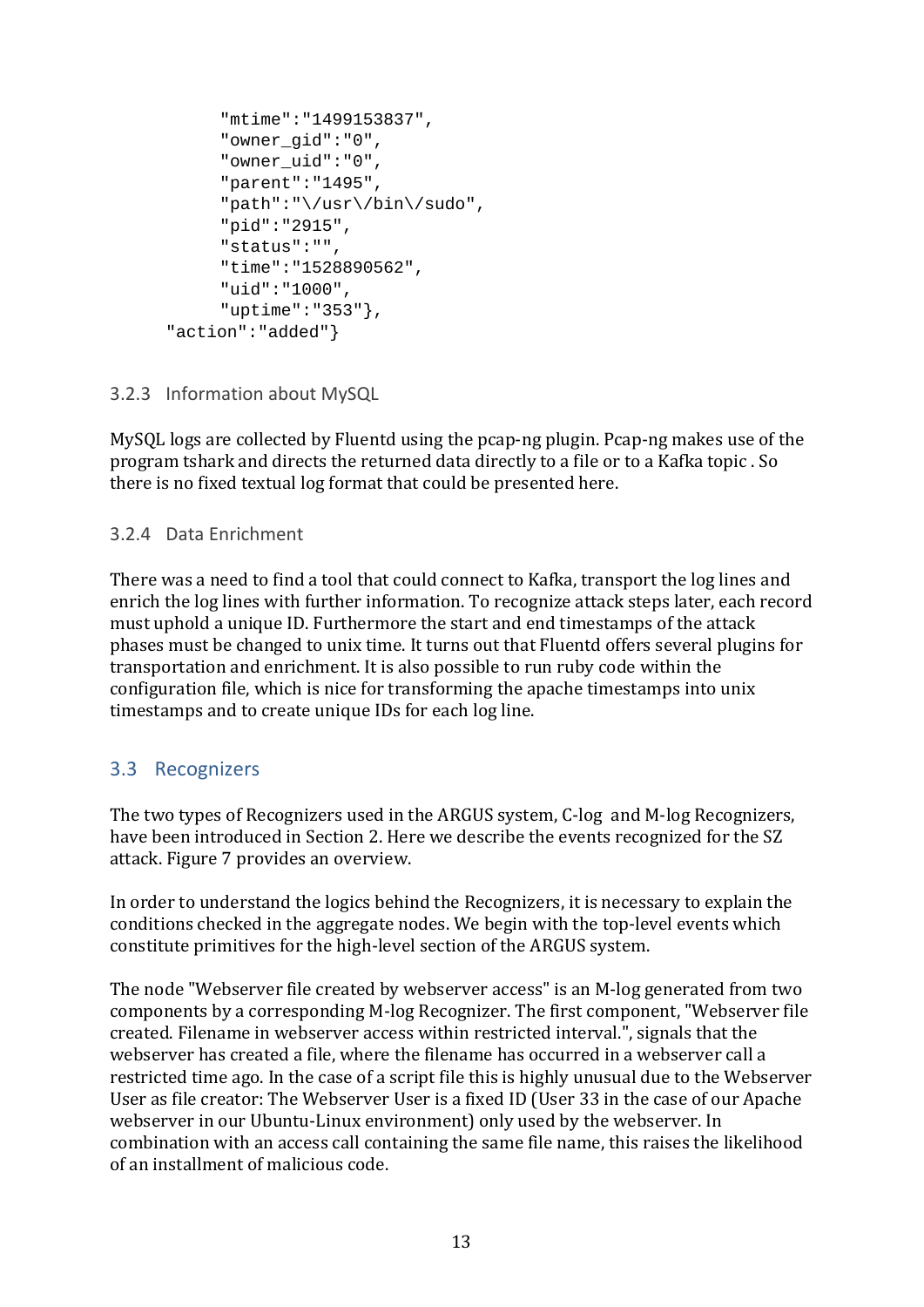```
"mtime":"1499153837", 
     "owner_gid":"0", 
     "owner_uid":"0", 
     "parent":"1495", 
     "path":"\/usr\/bin\/sudo", 
     "pid":"2915", 
     "status":"", 
     "time":"1528890562", 
     "uid":"1000", 
     "uptime":"353"}, 
"action":"added"}
```
#### 3.2.3 Information about MySQL

MySQL logs are collected by Fluentd using the pcap-ng plugin. Pcap-ng makes use of the program tshark and directs the returned data directly to a file or to a Kafka topic. So there is no fixed textual log format that could be presented here.

#### 3.2.4 Data Enrichment

There was a need to find a tool that could connect to Kafka, transport the log lines and enrich the log lines with further information. To recognize attack steps later, each record must uphold a unique ID. Furthermore the start and end timestamps of the attack phases must be changed to unix time. It turns out that Fluentd offers several plugins for transportation and enrichment. It is also possible to run ruby code within the configuration file, which is nice for transforming the apache timestamps into unix timestamps and to create unique IDs for each log line.

## 3.3 Recognizers

The two types of Recognizers used in the ARGUS system, C-log and M-log Recognizers, have been introduced in Section 2. Here we describe the events recognized for the SZ attack. Figure 7 provides an overview.

In order to understand the logics behind the Recognizers, it is necessary to explain the conditions checked in the aggregate nodes. We begin with the top-level events which constitute primitives for the high-level section of the ARGUS system.

The node "Webserver file created by webserver access" is an M-log generated from two components by a corresponding M-log Recognizer. The first component, "Webserver file created. Filename in webserver access within restricted interval.", signals that the webserver has created a file, where the filename has occurred in a webserver call a restricted time ago. In the case of a script file this is highly unusual due to the Webserver User as file creator: The Webserver User is a fixed ID (User 33 in the case of our Apache webserver in our Ubuntu-Linux environment) only used by the webserver. In combination with an access call containing the same file name, this raises the likelihood of an installment of malicious code.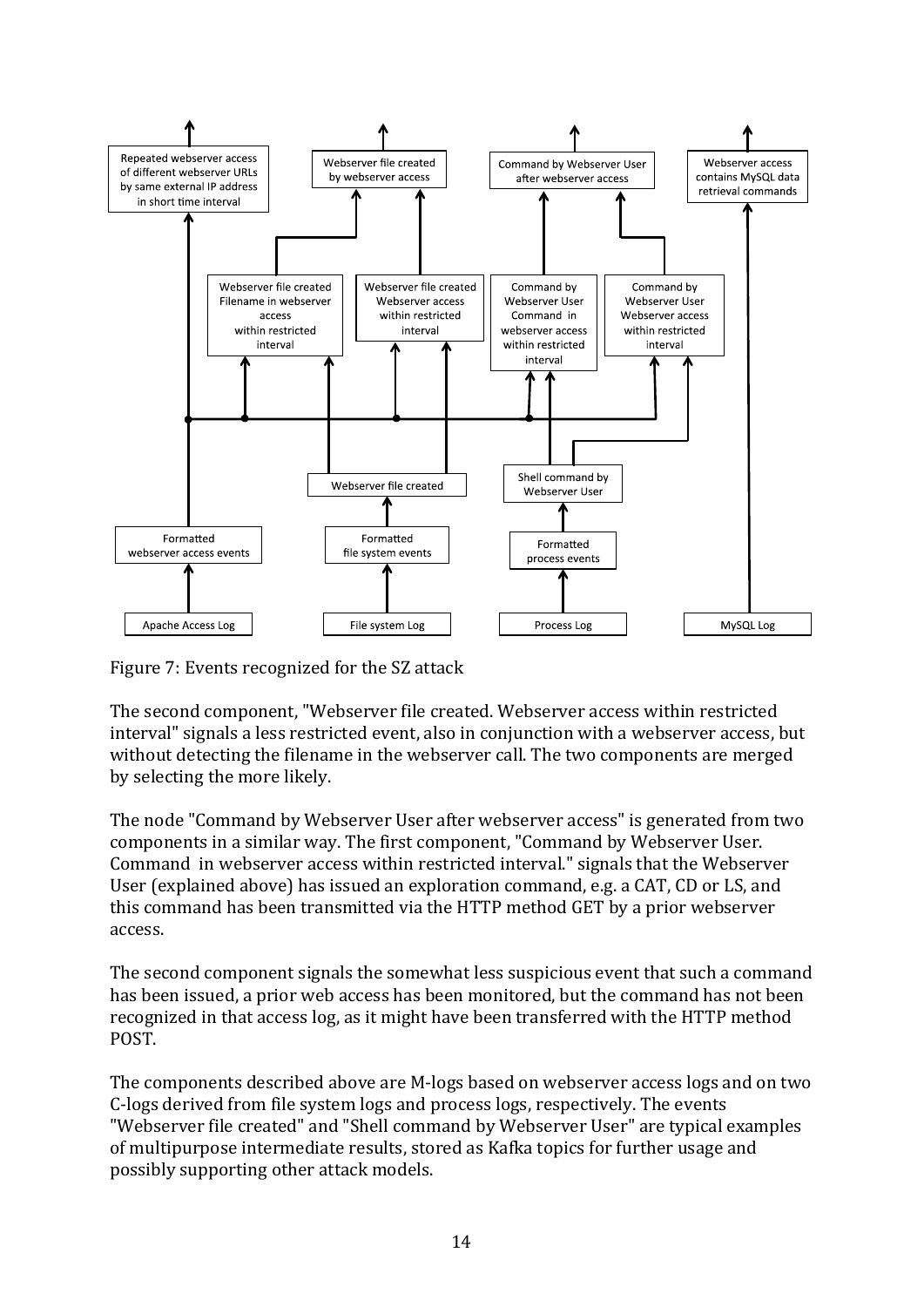

Figure 7: Events recognized for the SZ attack

The second component. "Webserver file created. Webserver access within restricted interval" signals a less restricted event, also in conjunction with a webserver access, but without detecting the filename in the webserver call. The two components are merged by selecting the more likely.

The node "Command by Webserver User after webserver access" is generated from two components in a similar way. The first component, "Command by Webserver User. Command in webserver access within restricted interval." signals that the Webserver User (explained above) has issued an exploration command, e.g. a CAT, CD or LS, and this command has been transmitted via the HTTP method GET by a prior webserver access. 

The second component signals the somewhat less suspicious event that such a command has been issued, a prior web access has been monitored, but the command has not been recognized in that access log, as it might have been transferred with the HTTP method POST. 

The components described above are M-logs based on webserver access logs and on two C-logs derived from file system logs and process logs, respectively. The events "Webserver file created" and "Shell command by Webserver User" are typical examples of multipurpose intermediate results, stored as Kafka topics for further usage and possibly supporting other attack models.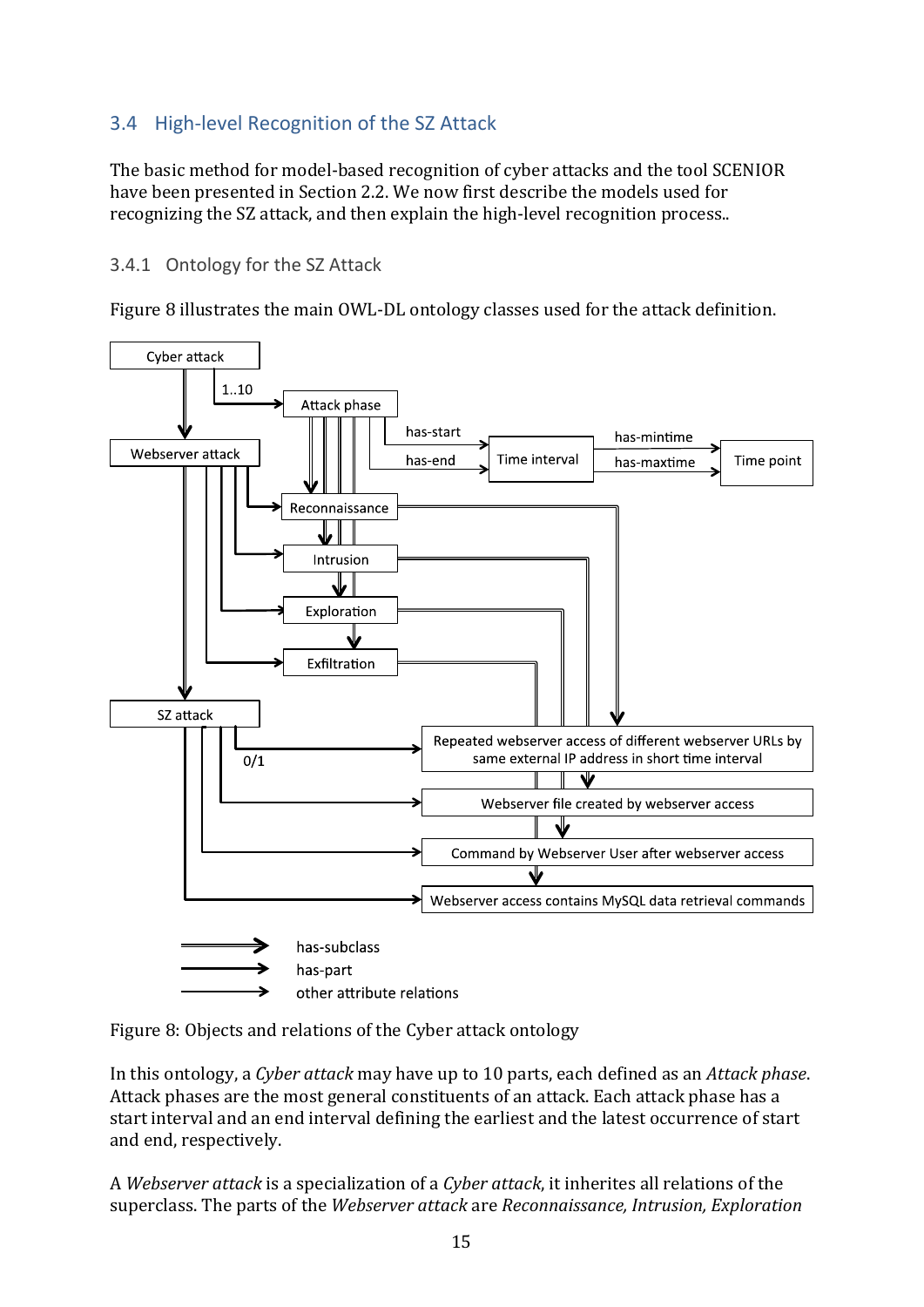## 3.4 High‐level Recognition of the SZ Attack

The basic method for model-based recognition of cyber attacks and the tool SCENIOR have been presented in Section 2.2. We now first describe the models used for recognizing the SZ attack, and then explain the high-level recognition process..

### 3.4.1 Ontology for the SZ Attack

Figure 8 illustrates the main OWL-DL ontology classes used for the attack definition.



Figure 8: Objects and relations of the Cyber attack ontology

In this ontology, a *Cyber attack* may have up to 10 parts, each defined as an *Attack phase*. Attack phases are the most general constituents of an attack. Each attack phase has a start interval and an end interval defining the earliest and the latest occurrence of start and end, respectively.

A *Webserver attack* is a specialization of a *Cyber attack*, it inherites all relations of the superclass. The parts of the *Webserver attack* are *Reconnaissance, Intrusion, Exploration*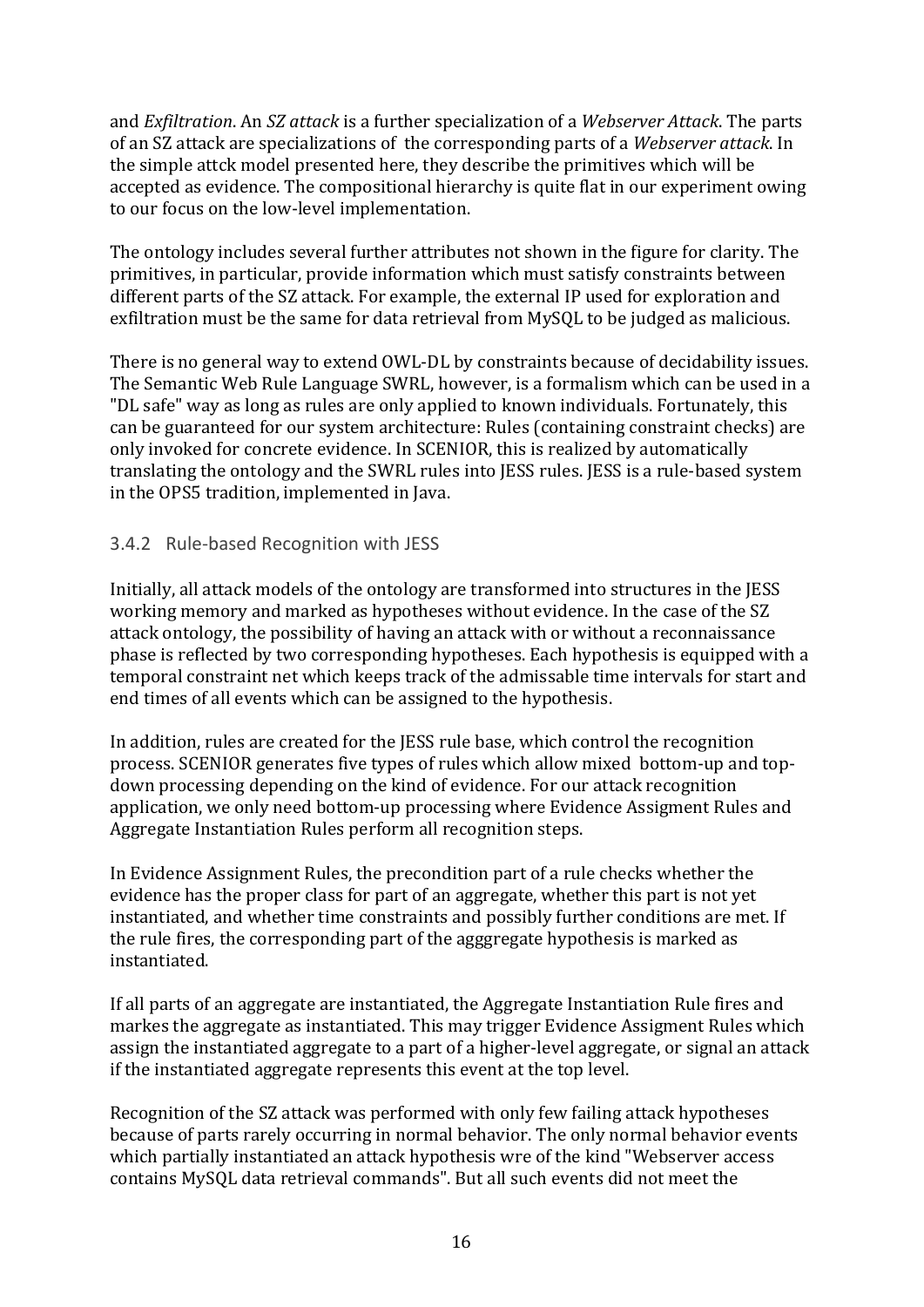and *Exfiltration*. An *SZ attack* is a further specialization of a *Webserver Attack*. The parts of an SZ attack are specializations of the corresponding parts of a Webserver *attack*. In the simple attck model presented here, they describe the primitives which will be accepted as evidence. The compositional hierarchy is quite flat in our experiment owing to our focus on the low-level implementation.

The ontology includes several further attributes not shown in the figure for clarity. The primitives, in particular, provide information which must satisfy constraints between different parts of the SZ attack. For example, the external IP used for exploration and exfiltration must be the same for data retrieval from MySQL to be judged as malicious.

There is no general way to extend OWL-DL by constraints because of decidability issues. The Semantic Web Rule Language SWRL, however, is a formalism which can be used in a "DL safe" way as long as rules are only applied to known individuals. Fortunately, this can be guaranteed for our system architecture: Rules (containing constraint checks) are only invoked for concrete evidence. In SCENIOR, this is realized by automatically translating the ontology and the SWRL rules into JESS rules. JESS is a rule-based system in the OPS5 tradition, implemented in Java.

#### 3.4.2 Rule‐based Recognition with JESS

Initially, all attack models of the ontology are transformed into structures in the IESS working memory and marked as hypotheses without evidence. In the case of the SZ attack ontology, the possibility of having an attack with or without a reconnaissance phase is reflected by two corresponding hypotheses. Each hypothesis is equipped with a temporal constraint net which keeps track of the admissable time intervals for start and end times of all events which can be assigned to the hypothesis.

In addition, rules are created for the JESS rule base, which control the recognition process. SCENIOR generates five types of rules which allow mixed bottom-up and topdown processing depending on the kind of evidence. For our attack recognition application, we only need bottom-up processing where Evidence Assigment Rules and Aggregate Instantiation Rules perform all recognition steps.

In Evidence Assignment Rules, the precondition part of a rule checks whether the evidence has the proper class for part of an aggregate, whether this part is not vet instantiated, and whether time constraints and possibly further conditions are met. If the rule fires, the corresponding part of the agggregate hypothesis is marked as instantiated. 

If all parts of an aggregate are instantiated, the Aggregate Instantiation Rule fires and markes the aggregate as instantiated. This may trigger Evidence Assigment Rules which assign the instantiated aggregate to a part of a higher-level aggregate, or signal an attack if the instantiated aggregate represents this event at the top level.

Recognition of the SZ attack was performed with only few failing attack hypotheses because of parts rarely occurring in normal behavior. The only normal behavior events which partially instantiated an attack hypothesis wre of the kind "Webserver access" contains MySQL data retrieval commands". But all such events did not meet the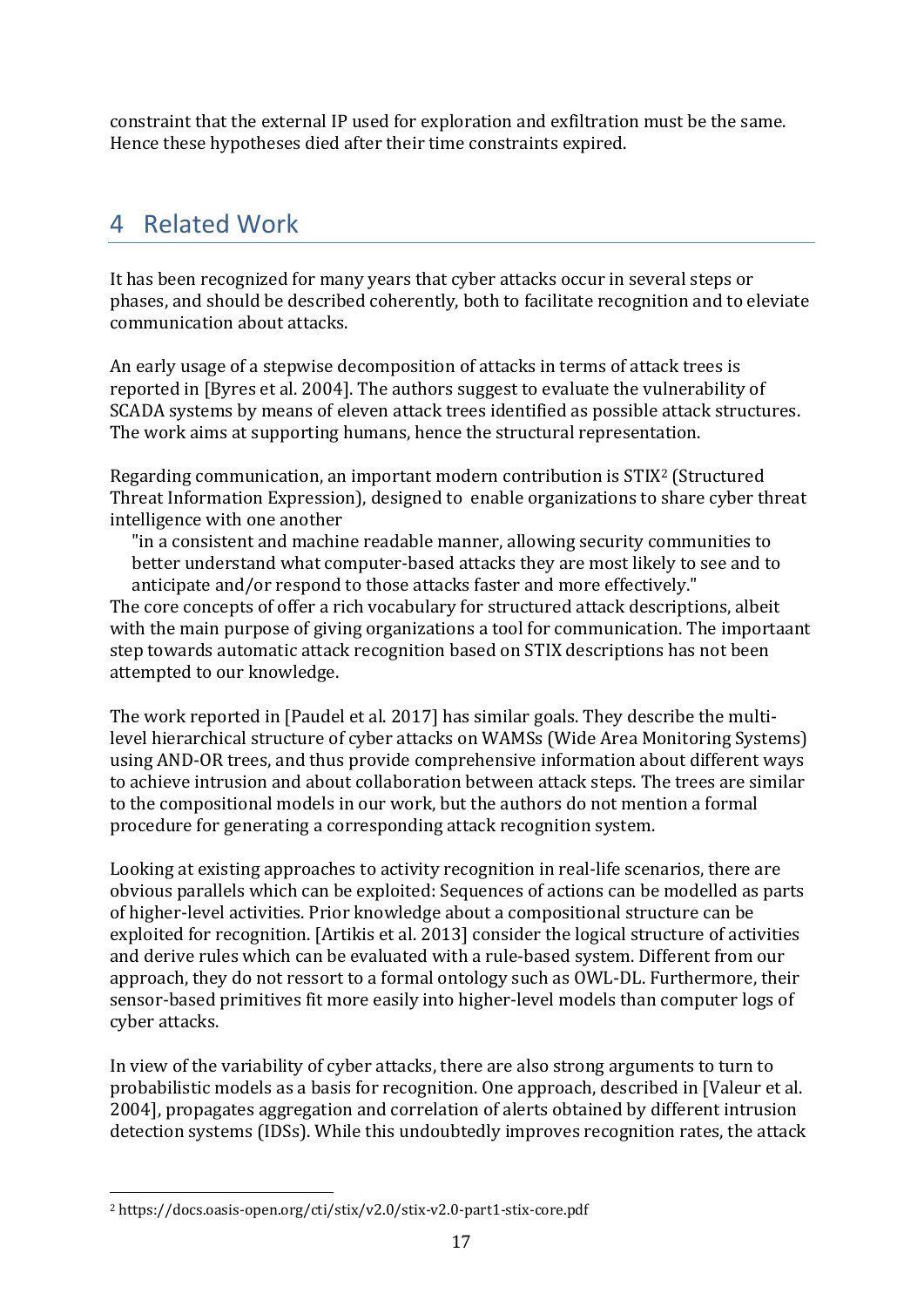constraint that the external IP used for exploration and exfiltration must be the same. Hence these hypotheses died after their time constraints expired.

## 4 Related Work

It has been recognized for many vears that cyber attacks occur in several steps or phases, and should be described coherently, both to facilitate recognition and to eleviate communication about attacks. 

An early usage of a stepwise decomposition of attacks in terms of attack trees is reported in [Byres et al. 2004]. The authors suggest to evaluate the vulnerability of SCADA systems by means of eleven attack trees identified as possible attack structures. The work aims at supporting humans, hence the structural representation.

Regarding communication, an important modern contribution is  $STIX<sup>2</sup>$  (Structured Threat Information Expression), designed to enable organizations to share cyber threat intelligence with one another

"in a consistent and machine readable manner, allowing security communities to better understand what computer-based attacks they are most likely to see and to anticipate and/or respond to those attacks faster and more effectively."

The core concepts of offer a rich vocabulary for structured attack descriptions, albeit with the main purpose of giving organizations a tool for communication. The importaant step towards automatic attack recognition based on STIX descriptions has not been attempted to our knowledge.

The work reported in [Paudel et al. 2017] has similar goals. They describe the multilevel hierarchical structure of cyber attacks on WAMSs (Wide Area Monitoring Systems) using AND-OR trees, and thus provide comprehensive information about different ways to achieve intrusion and about collaboration between attack steps. The trees are similar to the compositional models in our work, but the authors do not mention a formal procedure for generating a corresponding attack recognition system.

Looking at existing approaches to activity recognition in real-life scenarios, there are obvious parallels which can be exploited: Sequences of actions can be modelled as parts of higher-level activities. Prior knowledge about a compositional structure can be exploited for recognition. [Artikis et al. 2013] consider the logical structure of activities and derive rules which can be evaluated with a rule-based system. Different from our approach, they do not ressort to a formal ontology such as OWL-DL. Furthermore, their sensor-based primitives fit more easily into higher-level models than computer logs of cyber attacks.

In view of the variability of cyber attacks, there are also strong arguments to turn to probabilistic models as a basis for recognition. One approach, described in [Valeur et al. 2004], propagates aggregation and correlation of alerts obtained by different intrusion detection systems (IDSs). While this undoubtedly improves recognition rates, the attack

 

<sup>&</sup>lt;sup>2</sup> https://docs.oasis-open.org/cti/stix/v2.0/stix-v2.0-part1-stix-core.pdf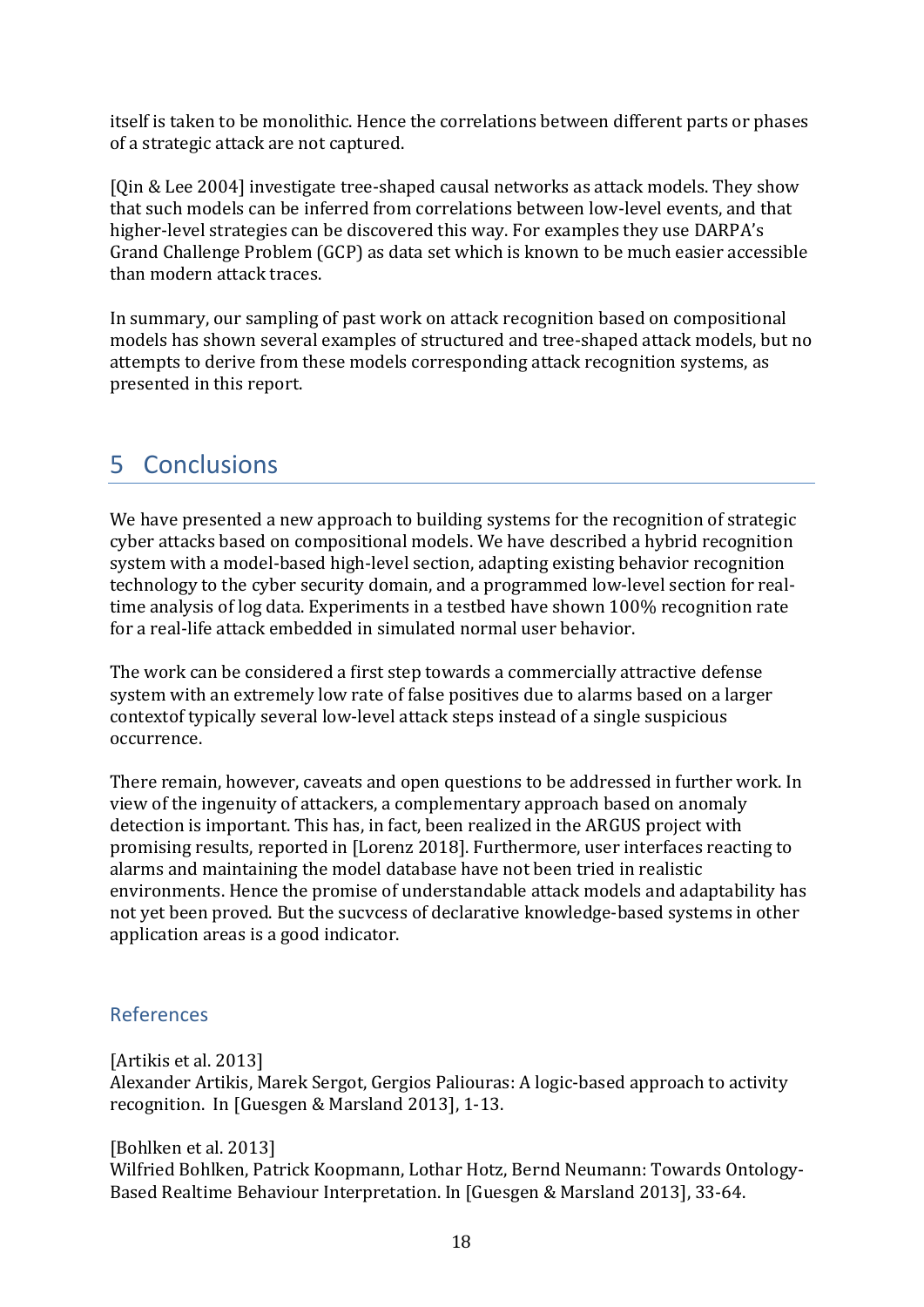itself is taken to be monolithic. Hence the correlations between different parts or phases of a strategic attack are not captured.

[Qin & Lee 2004] investigate tree-shaped causal networks as attack models. They show that such models can be inferred from correlations between low-level events, and that higher-level strategies can be discovered this way. For examples they use DARPA's Grand Challenge Problem (GCP) as data set which is known to be much easier accessible than modern attack traces.

In summary, our sampling of past work on attack recognition based on compositional models has shown several examples of structured and tree-shaped attack models, but no attempts to derive from these models corresponding attack recognition systems, as presented in this report.

## 5 Conclusions

We have presented a new approach to building systems for the recognition of strategic cyber attacks based on compositional models. We have described a hybrid recognition system with a model-based high-level section, adapting existing behavior recognition technology to the cyber security domain, and a programmed low-level section for realtime analysis of log data. Experiments in a testbed have shown 100% recognition rate for a real-life attack embedded in simulated normal user behavior.

The work can be considered a first step towards a commercially attractive defense system with an extremely low rate of false positives due to alarms based on a larger contextof typically several low-level attack steps instead of a single suspicious occurrence. 

There remain, however, caveats and open questions to be addressed in further work. In view of the ingenuity of attackers, a complementary approach based on anomaly detection is important. This has, in fact, been realized in the ARGUS project with promising results, reported in [Lorenz 2018]. Furthermore, user interfaces reacting to alarms and maintaining the model database have not been tried in realistic environments. Hence the promise of understandable attack models and adaptability has not yet been proved. But the sucvcess of declarative knowledge-based systems in other application areas is a good indicator.

## References

[Artikis et al. 2013] Alexander Artikis, Marek Sergot, Gergios Paliouras: A logic-based approach to activity recognition. In [Guesgen & Marsland 2013], 1-13.

#### [Bohlken et al. 2013]

Wilfried Bohlken, Patrick Koopmann, Lothar Hotz, Bernd Neumann: Towards Ontology-Based Realtime Behaviour Interpretation. In [Guesgen & Marsland 2013], 33-64.